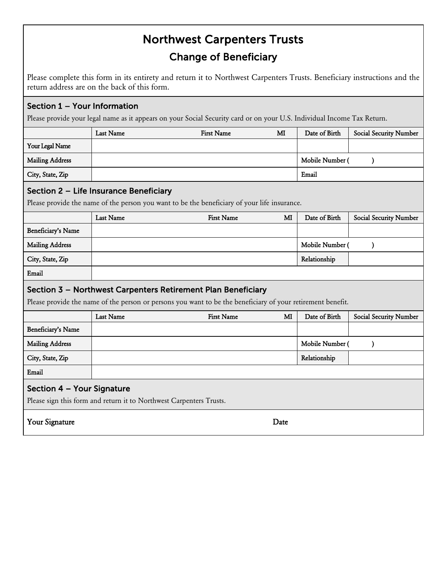## Northwest Carpenters Trusts Change of Beneficiary

Please complete this form in its entirety and return it to Northwest Carpenters Trusts. Beneficiary instructions and the return address are on the back of this form.

## Section 1 – Your Information

Please provide your legal name as it appears on your Social Security card or on your U.S. Individual Income Tax Return.

|                                                                                                             | <b>Last Name</b> | <b>First Name</b> | MI           | Date of Birth        | <b>Social Security Number</b> |  |
|-------------------------------------------------------------------------------------------------------------|------------------|-------------------|--------------|----------------------|-------------------------------|--|
| Your Legal Name                                                                                             |                  |                   |              |                      |                               |  |
| <b>Mailing Address</b>                                                                                      |                  |                   |              | Mobile Number (      | $\lambda$                     |  |
| City, State, Zip                                                                                            |                  |                   |              | Email                |                               |  |
| Section 2 - Life Insurance Beneficiary                                                                      |                  |                   |              |                      |                               |  |
| Please provide the name of the person you want to be the beneficiary of your life insurance.                |                  |                   |              |                      |                               |  |
|                                                                                                             | <b>Last Name</b> | <b>First Name</b> | $\mathbf{M}$ | Date of Birth        | <b>Social Security Number</b> |  |
| Beneficiary's Name                                                                                          |                  |                   |              |                      |                               |  |
| <b>Mailing Address</b>                                                                                      |                  |                   |              | Mobile Number (<br>℩ |                               |  |
| City, State, Zip                                                                                            |                  |                   |              | Relationship         |                               |  |
| Email                                                                                                       |                  |                   |              |                      |                               |  |
| Section 3 - Northwest Carpenters Retirement Plan Beneficiary                                                |                  |                   |              |                      |                               |  |
| Please provide the name of the person or persons you want to be the beneficiary of your retirement benefit. |                  |                   |              |                      |                               |  |
|                                                                                                             | Last Name        | <b>First Name</b> | MI           | Date of Birth        | <b>Social Security Number</b> |  |
| Beneficiary's Name                                                                                          |                  |                   |              |                      |                               |  |
| <b>Mailing Address</b>                                                                                      |                  |                   |              | Mobile Number (      | €                             |  |
| City, State, Zip                                                                                            |                  |                   |              | Relationship         |                               |  |
| Email                                                                                                       |                  |                   |              |                      |                               |  |
| Section 4 - Your Signature                                                                                  |                  |                   |              |                      |                               |  |
| Please sign this form and return it to Northwest Carpenters Trusts.                                         |                  |                   |              |                      |                               |  |
|                                                                                                             |                  |                   |              |                      |                               |  |
| Your Signature                                                                                              |                  |                   | Date         |                      |                               |  |